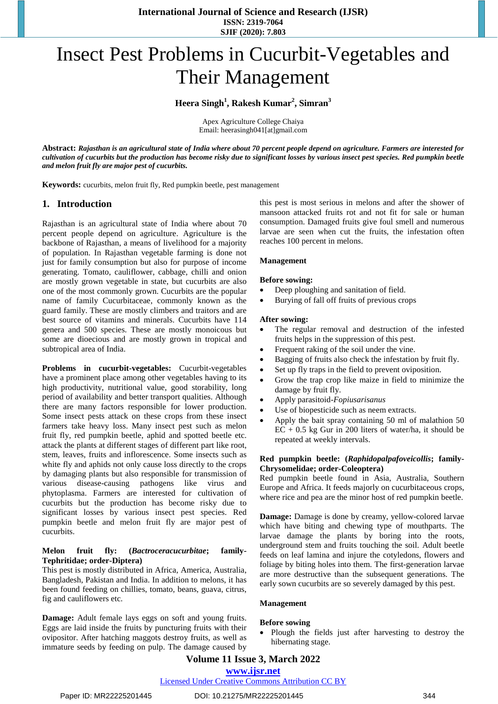**International Journal of Science and Research (IJSR) ISSN: 2319-7064 SJIF (2020): 7.803**

# Insect Pest Problems in Cucurbit-Vegetables and Their Management

# **Heera Singh<sup>1</sup> , Rakesh Kumar<sup>2</sup> , Simran<sup>3</sup>**

Apex Agriculture College Chaiya Email: heerasingh041[at]gmail.com

**Abstract:** *Rajasthan is an agricultural state of India where about 70 percent people depend on agriculture. Farmers are interested for cultivation of cucurbits but the production has become risky due to significant losses by various insect pest species. Red pumpkin beetle and melon fruit fly are major pest of cucurbits.*

**Keywords:** cucurbits, melon fruit fly, Red pumpkin beetle, pest management

### **1. Introduction**

Rajasthan is an agricultural state of India where about 70 percent people depend on agriculture. Agriculture is the backbone of Rajasthan, a means of livelihood for a majority of population. In Rajasthan vegetable farming is done not just for family consumption but also for purpose of income generating. Tomato, cauliflower, cabbage, chilli and onion are mostly grown vegetable in state, but cucurbits are also one of the most commonly grown. Cucurbits are the popular name of family Cucurbitaceae, commonly known as the guard family. These are mostly climbers and traitors and are best source of vitamins and minerals. Cucurbits have 114 genera and 500 species. These are mostly monoicous but some are dioecious and are mostly grown in tropical and subtropical area of India.

**Problems in cucurbit-vegetables:** Cucurbit-vegetables have a prominent place among other vegetables having to its high productivity, nutritional value, good storability, long period of availability and better transport qualities. Although there are many factors responsible for lower production. Some insect pests attack on these crops from these insect farmers take heavy loss. Many insect pest such as melon fruit fly, red pumpkin beetle, aphid and spotted beetle etc. attack the plants at different stages of different part like root, stem, leaves, fruits and inflorescence. Some insects such as white fly and aphids not only cause loss directly to the crops by damaging plants but also responsible for transmission of various disease-causing pathogens like virus and phytoplasma. Farmers are interested for cultivation of cucurbits but the production has become risky due to significant losses by various insect pest species. Red pumpkin beetle and melon fruit fly are major pest of cucurbits.

#### **Melon fruit fly: (***Bactroceracucurbitae***; family-Tephritidae; order-Diptera)**

This pest is mostly distributed in Africa, America, Australia, Bangladesh, Pakistan and India. In addition to melons, it has been found feeding on chillies, tomato, beans, guava, citrus, fig and cauliflowers etc.

**Damage:** Adult female lays eggs on soft and young fruits. Eggs are laid inside the fruits by puncturing fruits with their ovipositor. After hatching maggots destroy fruits, as well as immature seeds by feeding on pulp. The damage caused by this pest is most serious in melons and after the shower of mansoon attacked fruits rot and not fit for sale or human consumption. Damaged fruits give foul smell and numerous larvae are seen when cut the fruits, the infestation often reaches 100 percent in melons.

#### **Management**

#### **Before sowing:**

- Deep ploughing and sanitation of field.
- Burying of fall off fruits of previous crops

#### **After sowing:**

- The regular removal and destruction of the infested fruits helps in the suppression of this pest.
- Frequent raking of the soil under the vine.
- Bagging of fruits also check the infestation by fruit fly.
- Set up fly traps in the field to prevent oviposition.
- Grow the trap crop like maize in field to minimize the damage by fruit fly.
- Apply parasitoid-*Fopiusarisanus*
- Use of biopesticide such as neem extracts.
- Apply the bait spray containing 50 ml of malathion 50  $EC + 0.5$  kg Gur in 200 liters of water/ha, it should be repeated at weekly intervals.

#### **Red pumpkin beetle: (***Raphidopalpafoveicollis***; family-Chrysomelidae; order-Coleoptera)**

Red pumpkin beetle found in Asia, Australia, Southern Europe and Africa. It feeds majorly on cucurbitaceous crops, where rice and pea are the minor host of red pumpkin beetle.

**Damage:** Damage is done by creamy, yellow-colored larvae which have biting and chewing type of mouthparts. The larvae damage the plants by boring into the roots, underground stem and fruits touching the soil. Adult beetle feeds on leaf lamina and injure the cotyledons, flowers and foliage by biting holes into them. The first-generation larvae are more destructive than the subsequent generations. The early sown cucurbits are so severely damaged by this pest.

#### **Management**

#### **Before sowing**

• Plough the fields just after harvesting to destroy the hibernating stage.

# **Volume 11 Issue 3, March 2022 www.ijsr.net**

Licensed Under Creative Commons Attribution CC BY